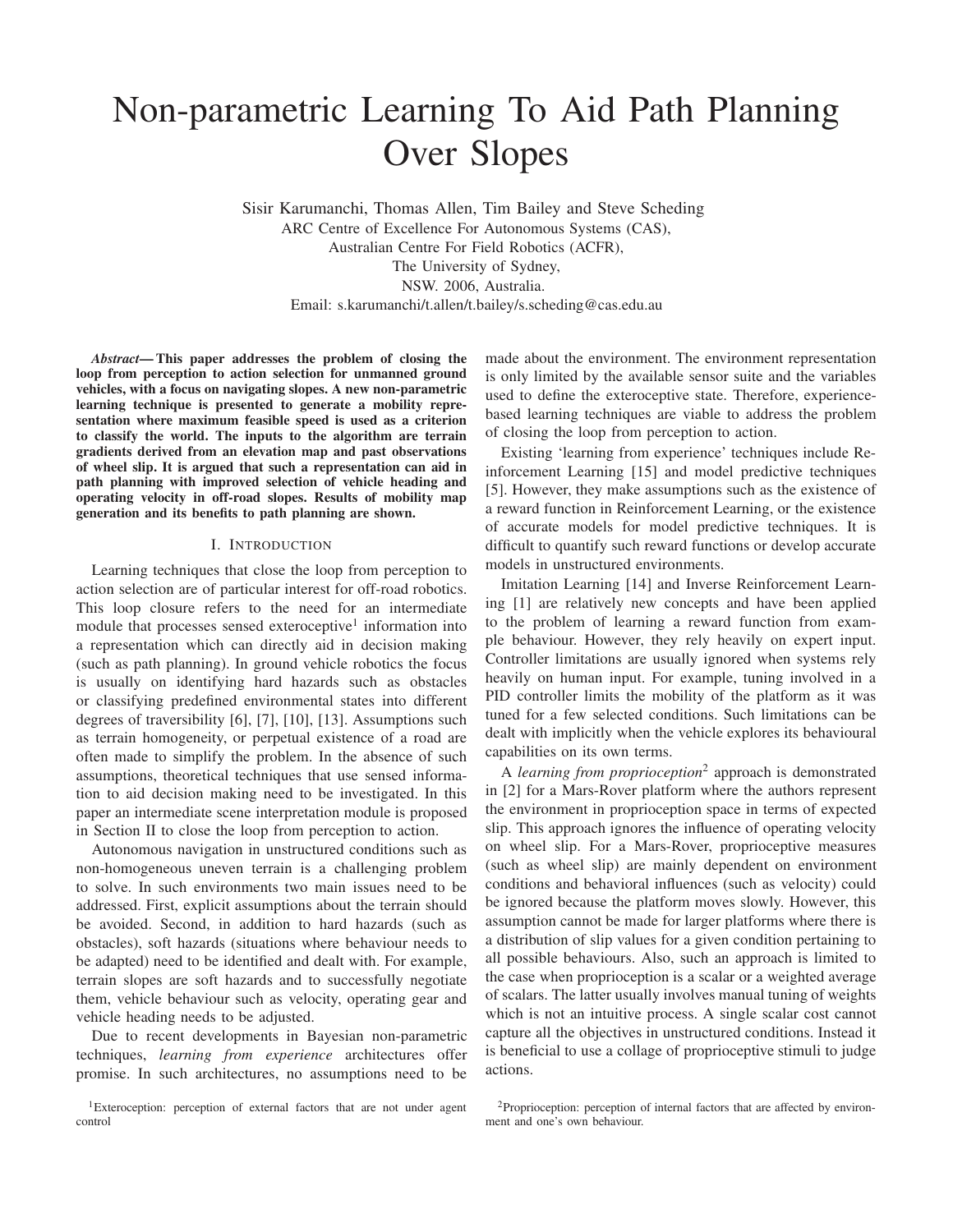# Non-parametric Learning To Aid Path Planning Over Slopes

Sisir Karumanchi, Thomas Allen, Tim Bailey and Steve Scheding ARC Centre of Excellence For Autonomous Systems (CAS), Australian Centre For Field Robotics (ACFR), The University of Sydney, NSW. 2006, Australia. Email: s.karumanchi/t.allen/t.bailey/s.scheding@cas.edu.au

*Abstract*— This paper addresses the problem of closing the loop from perception to action selection for unmanned ground vehicles, with a focus on navigating slopes. A new non-parametric learning technique is presented to generate a mobility representation where maximum feasible speed is used as a criterion to classify the world. The inputs to the algorithm are terrain gradients derived from an elevation map and past observations of wheel slip. It is argued that such a representation can aid in path planning with improved selection of vehicle heading and operating velocity in off-road slopes. Results of mobility map generation and its benefits to path planning are shown.

## I. INTRODUCTION

Learning techniques that close the loop from perception to action selection are of particular interest for off-road robotics. This loop closure refers to the need for an intermediate module that processes sensed exteroceptive<sup>1</sup> information into a representation which can directly aid in decision making (such as path planning). In ground vehicle robotics the focus is usually on identifying hard hazards such as obstacles or classifying predefined environmental states into different degrees of traversibility [6], [7], [10], [13]. Assumptions such as terrain homogeneity, or perpetual existence of a road are often made to simplify the problem. In the absence of such assumptions, theoretical techniques that use sensed information to aid decision making need to be investigated. In this paper an intermediate scene interpretation module is proposed in Section II to close the loop from perception to action.

Autonomous navigation in unstructured conditions such as non-homogeneous uneven terrain is a challenging problem to solve. In such environments two main issues need to be addressed. First, explicit assumptions about the terrain should be avoided. Second, in addition to hard hazards (such as obstacles), soft hazards (situations where behaviour needs to be adapted) need to be identified and dealt with. For example, terrain slopes are soft hazards and to successfully negotiate them, vehicle behaviour such as velocity, operating gear and vehicle heading needs to be adjusted.

Due to recent developments in Bayesian non-parametric techniques, *learning from experience* architectures offer promise. In such architectures, no assumptions need to be

<sup>1</sup>Exteroception: perception of external factors that are not under agent control

made about the environment. The environment representation is only limited by the available sensor suite and the variables used to define the exteroceptive state. Therefore, experiencebased learning techniques are viable to address the problem of closing the loop from perception to action.

Existing 'learning from experience' techniques include Reinforcement Learning [15] and model predictive techniques [5]. However, they make assumptions such as the existence of a reward function in Reinforcement Learning, or the existence of accurate models for model predictive techniques. It is difficult to quantify such reward functions or develop accurate models in unstructured environments.

Imitation Learning [14] and Inverse Reinforcement Learning [1] are relatively new concepts and have been applied to the problem of learning a reward function from example behaviour. However, they rely heavily on expert input. Controller limitations are usually ignored when systems rely heavily on human input. For example, tuning involved in a PID controller limits the mobility of the platform as it was tuned for a few selected conditions. Such limitations can be dealt with implicitly when the vehicle explores its behavioural capabilities on its own terms.

A *learning from proprioception*<sup>2</sup> approach is demonstrated in [2] for a Mars-Rover platform where the authors represent the environment in proprioception space in terms of expected slip. This approach ignores the influence of operating velocity on wheel slip. For a Mars-Rover, proprioceptive measures (such as wheel slip) are mainly dependent on environment conditions and behavioral influences (such as velocity) could be ignored because the platform moves slowly. However, this assumption cannot be made for larger platforms where there is a distribution of slip values for a given condition pertaining to all possible behaviours. Also, such an approach is limited to the case when proprioception is a scalar or a weighted average of scalars. The latter usually involves manual tuning of weights which is not an intuitive process. A single scalar cost cannot capture all the objectives in unstructured conditions. Instead it is beneficial to use a collage of proprioceptive stimuli to judge actions.

<sup>&</sup>lt;sup>2</sup>Proprioception: perception of internal factors that are affected by environment and one's own behaviour.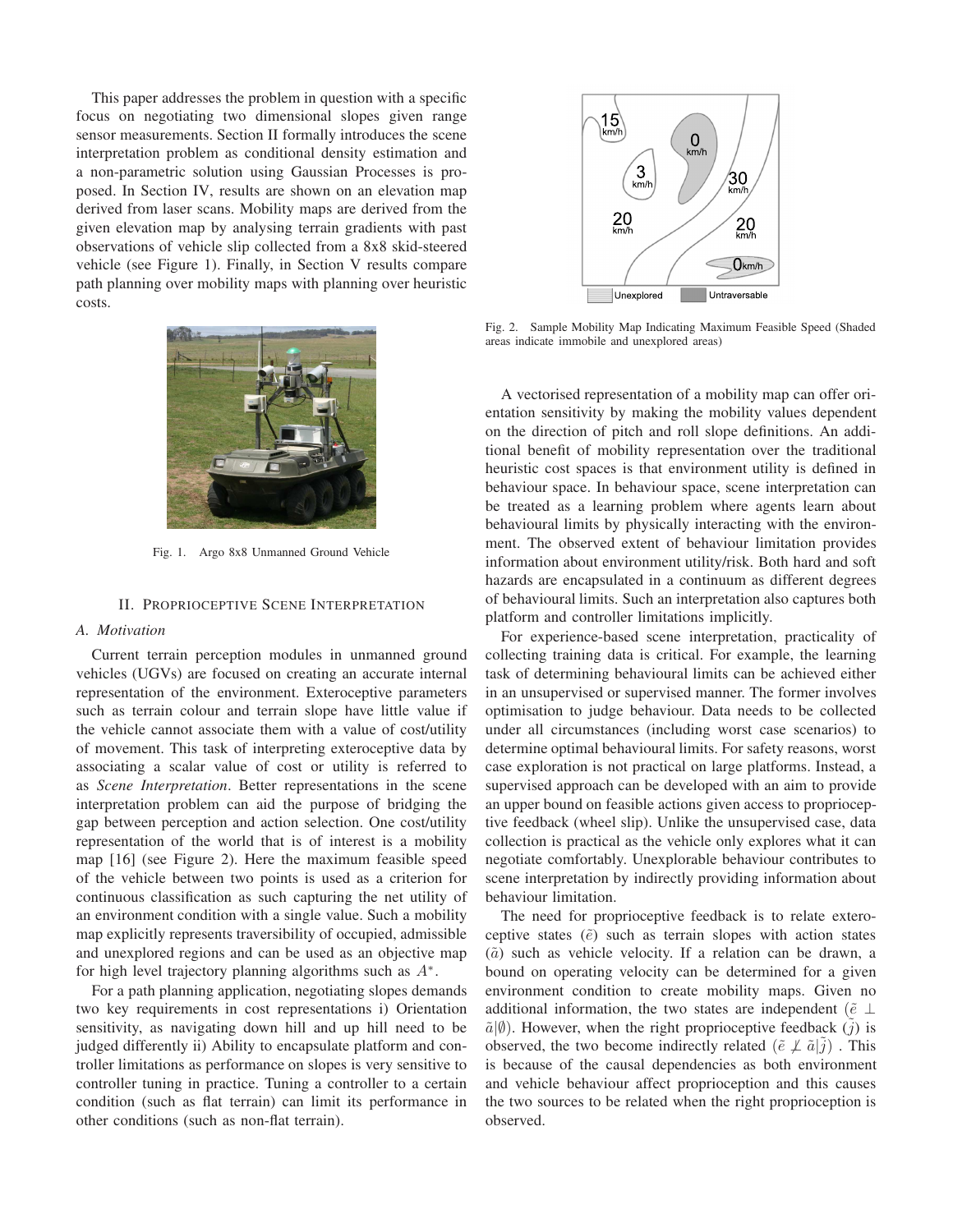This paper addresses the problem in question with a specific focus on negotiating two dimensional slopes given range sensor measurements. Section II formally introduces the scene interpretation problem as conditional density estimation and a non-parametric solution using Gaussian Processes is proposed. In Section IV, results are shown on an elevation map derived from laser scans. Mobility maps are derived from the given elevation map by analysing terrain gradients with past observations of vehicle slip collected from a 8x8 skid-steered vehicle (see Figure 1). Finally, in Section V results compare path planning over mobility maps with planning over heuristic costs.



Fig. 1. Argo 8x8 Unmanned Ground Vehicle

## II. PROPRIOCEPTIVE SCENE INTERPRETATION

## *A. Motivation*

Current terrain perception modules in unmanned ground vehicles (UGVs) are focused on creating an accurate internal representation of the environment. Exteroceptive parameters such as terrain colour and terrain slope have little value if the vehicle cannot associate them with a value of cost/utility of movement. This task of interpreting exteroceptive data by associating a scalar value of cost or utility is referred to as *Scene Interpretation*. Better representations in the scene interpretation problem can aid the purpose of bridging the gap between perception and action selection. One cost/utility representation of the world that is of interest is a mobility map [16] (see Figure 2). Here the maximum feasible speed of the vehicle between two points is used as a criterion for continuous classification as such capturing the net utility of an environment condition with a single value. Such a mobility map explicitly represents traversibility of occupied, admissible and unexplored regions and can be used as an objective map for high level trajectory planning algorithms such as  $A^*$ .

For a path planning application, negotiating slopes demands two key requirements in cost representations i) Orientation sensitivity, as navigating down hill and up hill need to be judged differently ii) Ability to encapsulate platform and controller limitations as performance on slopes is very sensitive to controller tuning in practice. Tuning a controller to a certain condition (such as flat terrain) can limit its performance in other conditions (such as non-flat terrain).



Fig. 2. Sample Mobility Map Indicating Maximum Feasible Speed (Shaded areas indicate immobile and unexplored areas)

A vectorised representation of a mobility map can offer orientation sensitivity by making the mobility values dependent on the direction of pitch and roll slope definitions. An additional benefit of mobility representation over the traditional heuristic cost spaces is that environment utility is defined in behaviour space. In behaviour space, scene interpretation can be treated as a learning problem where agents learn about behavioural limits by physically interacting with the environment. The observed extent of behaviour limitation provides information about environment utility/risk. Both hard and soft hazards are encapsulated in a continuum as different degrees of behavioural limits. Such an interpretation also captures both platform and controller limitations implicitly.

For experience-based scene interpretation, practicality of collecting training data is critical. For example, the learning task of determining behavioural limits can be achieved either in an unsupervised or supervised manner. The former involves optimisation to judge behaviour. Data needs to be collected under all circumstances (including worst case scenarios) to determine optimal behavioural limits. For safety reasons, worst case exploration is not practical on large platforms. Instead, a supervised approach can be developed with an aim to provide an upper bound on feasible actions given access to proprioceptive feedback (wheel slip). Unlike the unsupervised case, data collection is practical as the vehicle only explores what it can negotiate comfortably. Unexplorable behaviour contributes to scene interpretation by indirectly providing information about behaviour limitation.

The need for proprioceptive feedback is to relate exteroceptive states  $(\tilde{e})$  such as terrain slopes with action states  $(\tilde{a})$  such as vehicle velocity. If a relation can be drawn, a bound on operating velocity can be determined for a given environment condition to create mobility maps. Given no additional information, the two states are independent ( $\tilde{e} \perp$  $\tilde{a}|\emptyset\rangle$ . However, when the right proprioceptive feedback  $(j)$  is observed, the two become indirectly related  $(\tilde{e} \nperp \tilde{a}|j)$ . This is because of the causal dependencies as both environment and vehicle behaviour affect proprioception and this causes the two sources to be related when the right proprioception is observed.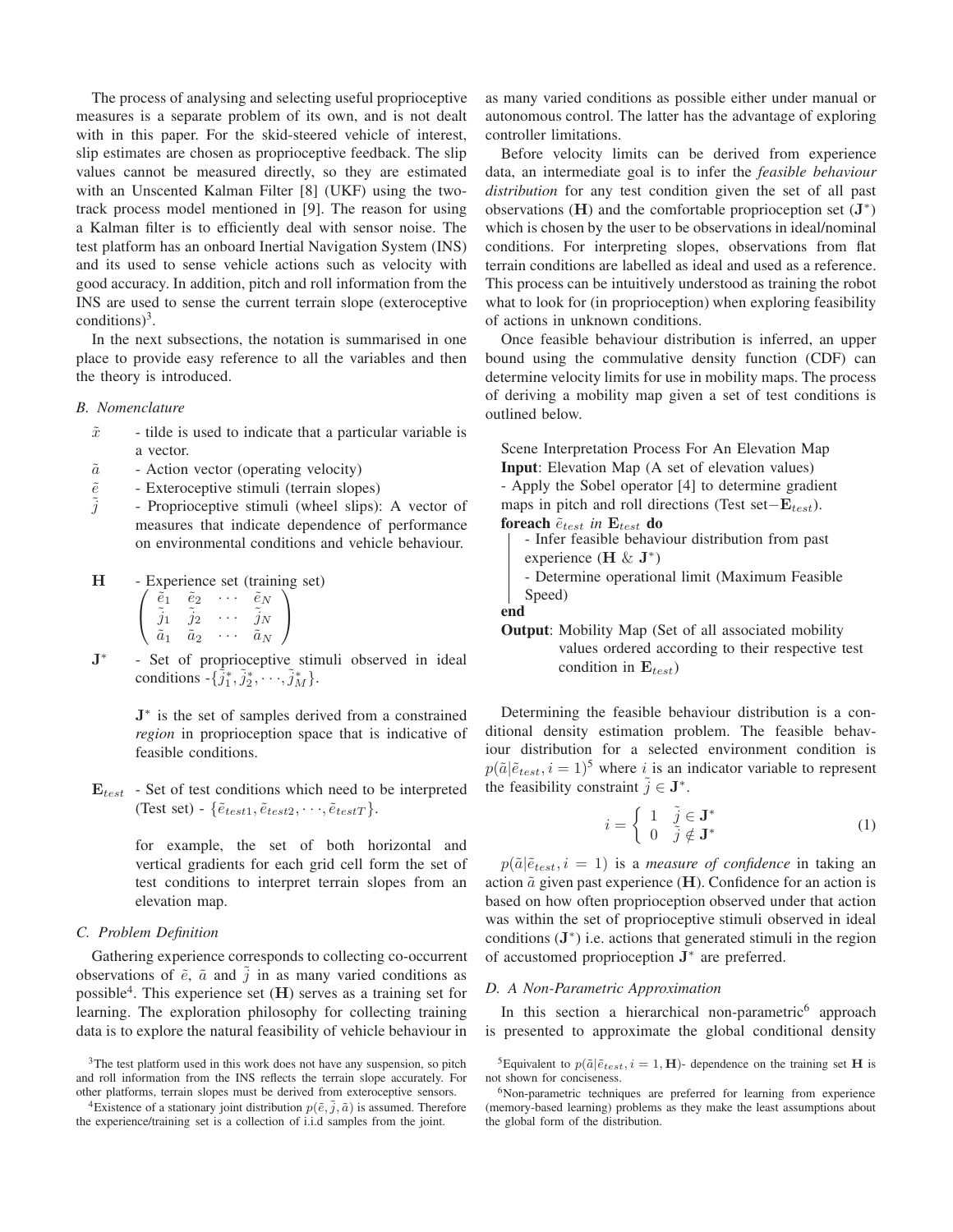The process of analysing and selecting useful proprioceptive measures is a separate problem of its own, and is not dealt with in this paper. For the skid-steered vehicle of interest, slip estimates are chosen as proprioceptive feedback. The slip values cannot be measured directly, so they are estimated with an Unscented Kalman Filter [8] (UKF) using the twotrack process model mentioned in [9]. The reason for using a Kalman filter is to efficiently deal with sensor noise. The test platform has an onboard Inertial Navigation System (INS) and its used to sense vehicle actions such as velocity with good accuracy. In addition, pitch and roll information from the INS are used to sense the current terrain slope (exteroceptive conditions)<sup>3</sup>.

In the next subsections, the notation is summarised in one place to provide easy reference to all the variables and then the theory is introduced.

## *B. Nomenclature*

- $\tilde{x}$  tilde is used to indicate that a particular variable is a vector.
- $\tilde{a}$  Action vector (operating velocity)
- $\tilde{e}$  Exteroceptive stimuli (terrain slopes)<br>  $\tilde{j}$  Proprioceptive stimuli (wheel slips):
- Proprioceptive stimuli (wheel slips): A vector of measures that indicate dependence of performance on environmental conditions and vehicle behaviour.

| H | - Experience set (training set) |  |  |  |
|---|---------------------------------|--|--|--|
|---|---------------------------------|--|--|--|

| e1             | eэ             | e <sub>0</sub> |
|----------------|----------------|----------------|
|                | 72             |                |
| a <sub>1</sub> | a <sub>2</sub> | $a_N$          |

J ∗ - Set of proprioceptive stimuli observed in ideal conditions  $-\{\tilde{j}_1^*, \tilde{j}_2^*, \cdots, \tilde{j}_M^*\}.$ 

> J<sup>\*</sup> is the set of samples derived from a constrained *region* in proprioception space that is indicative of feasible conditions.

 $E_{test}$  - Set of test conditions which need to be interpreted (Test set) -  $\{\tilde{e}_{test1}, \tilde{e}_{test2}, \cdots, \tilde{e}_{testT}\}.$ 

> for example, the set of both horizontal and vertical gradients for each grid cell form the set of test conditions to interpret terrain slopes from an elevation map.

# *C. Problem Definition*

Gathering experience corresponds to collecting co-occurrent observations of  $\tilde{e}$ ,  $\tilde{a}$  and  $\tilde{j}$  in as many varied conditions as possible<sup>4</sup> . This experience set (H) serves as a training set for learning. The exploration philosophy for collecting training data is to explore the natural feasibility of vehicle behaviour in as many varied conditions as possible either under manual or autonomous control. The latter has the advantage of exploring controller limitations.

Before velocity limits can be derived from experience data, an intermediate goal is to infer the *feasible behaviour distribution* for any test condition given the set of all past observations (H) and the comfortable proprioception set  $(\mathbf{J}^*)$ which is chosen by the user to be observations in ideal/nominal conditions. For interpreting slopes, observations from flat terrain conditions are labelled as ideal and used as a reference. This process can be intuitively understood as training the robot what to look for (in proprioception) when exploring feasibility of actions in unknown conditions.

Once feasible behaviour distribution is inferred, an upper bound using the commulative density function (CDF) can determine velocity limits for use in mobility maps. The process of deriving a mobility map given a set of test conditions is outlined below.

Scene Interpretation Process For An Elevation Map Input: Elevation Map (A set of elevation values) - Apply the Sobel operator [4] to determine gradient maps in pitch and roll directions (Test set $-E_{test}$ ). foreach  $\tilde{e}_{test}$  in E<sub>test</sub> do

- Infer feasible behaviour distribution from past experience (**H** & **J**<sup>\*</sup>)
- Determine operational limit (Maximum Feasible Speed)

end

Output: Mobility Map (Set of all associated mobility values ordered according to their respective test condition in  $E_{test}$ )

Determining the feasible behaviour distribution is a conditional density estimation problem. The feasible behaviour distribution for a selected environment condition is  $p(\tilde{a}|\tilde{e}_{test}, i = 1)^5$  where i is an indicator variable to represent the feasibility constraint  $\tilde{j} \in J^*$ .

$$
i = \begin{cases} 1 & \tilde{j} \in \mathbf{J}^* \\ 0 & \tilde{j} \notin \mathbf{J}^* \end{cases}
$$
 (1)

 $p(\tilde{a}|\tilde{e}_{test}, i = 1)$  is a *measure of confidence* in taking an action  $\tilde{a}$  given past experience (H). Confidence for an action is based on how often proprioception observed under that action was within the set of proprioceptive stimuli observed in ideal conditions (J<sup>\*</sup>) i.e. actions that generated stimuli in the region of accustomed proprioception  $J^*$  are preferred.

#### *D. A Non-Parametric Approximation*

In this section a hierarchical non-parametric<sup>6</sup> approach is presented to approximate the global conditional density

<sup>&</sup>lt;sup>3</sup>The test platform used in this work does not have any suspension, so pitch and roll information from the INS reflects the terrain slope accurately. For other platforms, terrain slopes must be derived from exteroceptive sensors.

<sup>&</sup>lt;sup>4</sup>Existence of a stationary joint distribution  $p(\tilde{e}, \tilde{j}, \tilde{a})$  is assumed. Therefore the experience/training set is a collection of i.i.d samples from the joint.

<sup>&</sup>lt;sup>5</sup>Equivalent to  $p(\tilde{a}|\tilde{e}_{test}, i = 1, H)$ - dependence on the training set **H** is not shown for conciseness.

 $6$ Non-parametric techniques are preferred for learning from experience (memory-based learning) problems as they make the least assumptions about the global form of the distribution.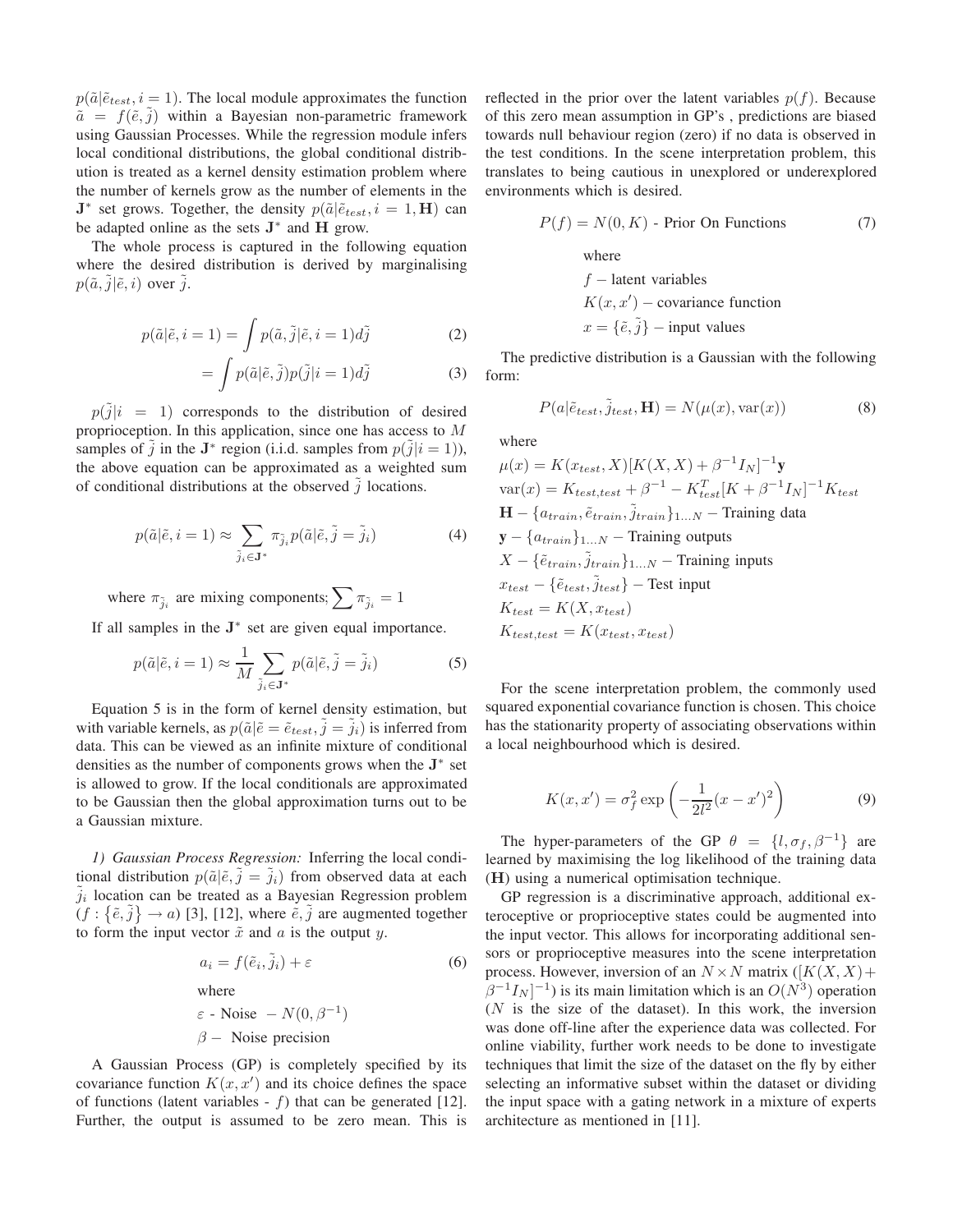$p(\tilde{a}|\tilde{e}_{test}, i = 1)$ . The local module approximates the function  $\tilde{a} = f(\tilde{e}, \tilde{j})$  within a Bayesian non-parametric framework using Gaussian Processes. While the regression module infers local conditional distributions, the global conditional distribution is treated as a kernel density estimation problem where the number of kernels grow as the number of elements in the  $J^*$  set grows. Together, the density  $p(\tilde{a}|\tilde{e}_{test}, i = 1, H)$  can be adapted online as the sets  $J^*$  and  $H$  grow.

The whole process is captured in the following equation where the desired distribution is derived by marginalising  $p(\tilde{a}, j | \tilde{e}, i)$  over j.

$$
p(\tilde{a}|\tilde{e}, i=1) = \int p(\tilde{a}, \tilde{j}|\tilde{e}, i=1)d\tilde{j}
$$
 (2)

$$
= \int p(\tilde{a}|\tilde{e}, \tilde{j}) p(\tilde{j}|i=1) d\tilde{j}
$$
 (3)

 $p(\tilde{j}|i = 1)$  corresponds to the distribution of desired proprioception. In this application, since one has access to M samples of  $\tilde{j}$  in the J<sup>\*</sup> region (i.i.d. samples from  $p(\tilde{j}|i=1)$ ), the above equation can be approximated as a weighted sum of conditional distributions at the observed  $\tilde{j}$  locations.

$$
p(\tilde{a}|\tilde{e}, i=1) \approx \sum_{\tilde{j}_i \in \mathbf{J}^*} \pi_{\tilde{j}_i} p(\tilde{a}|\tilde{e}, \tilde{j} = \tilde{j}_i)
$$
(4)

where  $\pi_{\tilde{j}_i}$  are mixing components;  $\sum \pi_{\tilde{j}_i} = 1$ 

If all samples in the  $J^*$  set are given equal importance.

$$
p(\tilde{a}|\tilde{e}, i=1) \approx \frac{1}{M} \sum_{\tilde{j}_i \in \mathbf{J}^*} p(\tilde{a}|\tilde{e}, \tilde{j} = \tilde{j}_i)
$$
 (5)

Equation 5 is in the form of kernel density estimation, but with variable kernels, as  $p(\tilde{a}|\tilde{e} = \tilde{e}_{test}, j = j_i)$  is inferred from data. This can be viewed as an infinite mixture of conditional densities as the number of components grows when the  $J^*$  set is allowed to grow. If the local conditionals are approximated to be Gaussian then the global approximation turns out to be a Gaussian mixture.

*1) Gaussian Process Regression:* Inferring the local conditional distribution  $p(\tilde{a}|\tilde{e}, j = j_i)$  from observed data at each  $\tilde{j}_i$  location can be treated as a Bayesian Regression problem  $(f:\{\tilde{e},\tilde{j}\}\rightarrow a)$  [3], [12], where  $\tilde{e},\tilde{j}$  are augmented together to form the input vector  $\tilde{x}$  and a is the output y.

$$
a_i = f(\tilde{e}_i, \tilde{j}_i) + \varepsilon
$$
  
where  

$$
\varepsilon
$$
 - Noise  $- N(0, \beta^{-1})$   
 $\beta$  - Noise precision

A Gaussian Process (GP) is completely specified by its covariance function  $K(x, x')$  and its choice defines the space of functions (latent variables -  $f$ ) that can be generated [12]. Further, the output is assumed to be zero mean. This is reflected in the prior over the latent variables  $p(f)$ . Because of this zero mean assumption in GP's , predictions are biased towards null behaviour region (zero) if no data is observed in the test conditions. In the scene interpretation problem, this translates to being cautious in unexplored or underexplored environments which is desired.

$$
P(f) = N(0, K)
$$
 - Prior On Functions (7)  
where  
 $f$  - latent variables  
 $K(x, x')$  - covariance function  
 $x = {\tilde{\epsilon}, \tilde{j}}$  - input values

The predictive distribution is a Gaussian with the following form:

$$
P(a|\tilde{e}_{test}, \tilde{j}_{test}, \mathbf{H}) = N(\mu(x), \text{var}(x))
$$
\n(8)

where

$$
\mu(x) = K(x_{test}, X)[K(X, X) + \beta^{-1}I_N]^{-1}\mathbf{y}
$$
  
\n
$$
\text{var}(x) = K_{test, test} + \beta^{-1} - K_{test}^T[K + \beta^{-1}I_N]^{-1}K_{test}
$$
  
\n
$$
\mathbf{H} - \{a_{train}, \tilde{e}_{train}, \tilde{j}_{train}\}_{1...N} - \text{Training data}
$$
  
\n
$$
\mathbf{y} - \{a_{train}\}_{1...N} - \text{Training outputs}
$$
  
\n
$$
X - \{\tilde{e}_{train}, \tilde{j}_{train}\}_{1...N} - \text{Training inputs}
$$
  
\n
$$
x_{test} - \{\tilde{e}_{test}, \tilde{j}_{test}\} - \text{Test input}
$$
  
\n
$$
K_{test} = K(X, x_{test})
$$
  
\n
$$
K_{test, test} = K(x_{test}, x_{test})
$$

For the scene interpretation problem, the commonly used squared exponential covariance function is chosen. This choice has the stationarity property of associating observations within a local neighbourhood which is desired.

$$
K(x, x') = \sigma_f^2 \exp\left(-\frac{1}{2l^2}(x - x')^2\right)
$$
 (9)

The hyper-parameters of the GP  $\theta = \{l, \sigma_f, \beta^{-1}\}\$ are learned by maximising the log likelihood of the training data (H) using a numerical optimisation technique.

GP regression is a discriminative approach, additional exteroceptive or proprioceptive states could be augmented into the input vector. This allows for incorporating additional sensors or proprioceptive measures into the scene interpretation process. However, inversion of an  $N \times N$  matrix  $([K(X, X)+$  $(\beta^{-1}I_N)^{-1}$ ) is its main limitation which is an  $O(N^3)$  operation  $(N$  is the size of the dataset). In this work, the inversion was done off-line after the experience data was collected. For online viability, further work needs to be done to investigate techniques that limit the size of the dataset on the fly by either selecting an informative subset within the dataset or dividing the input space with a gating network in a mixture of experts architecture as mentioned in [11].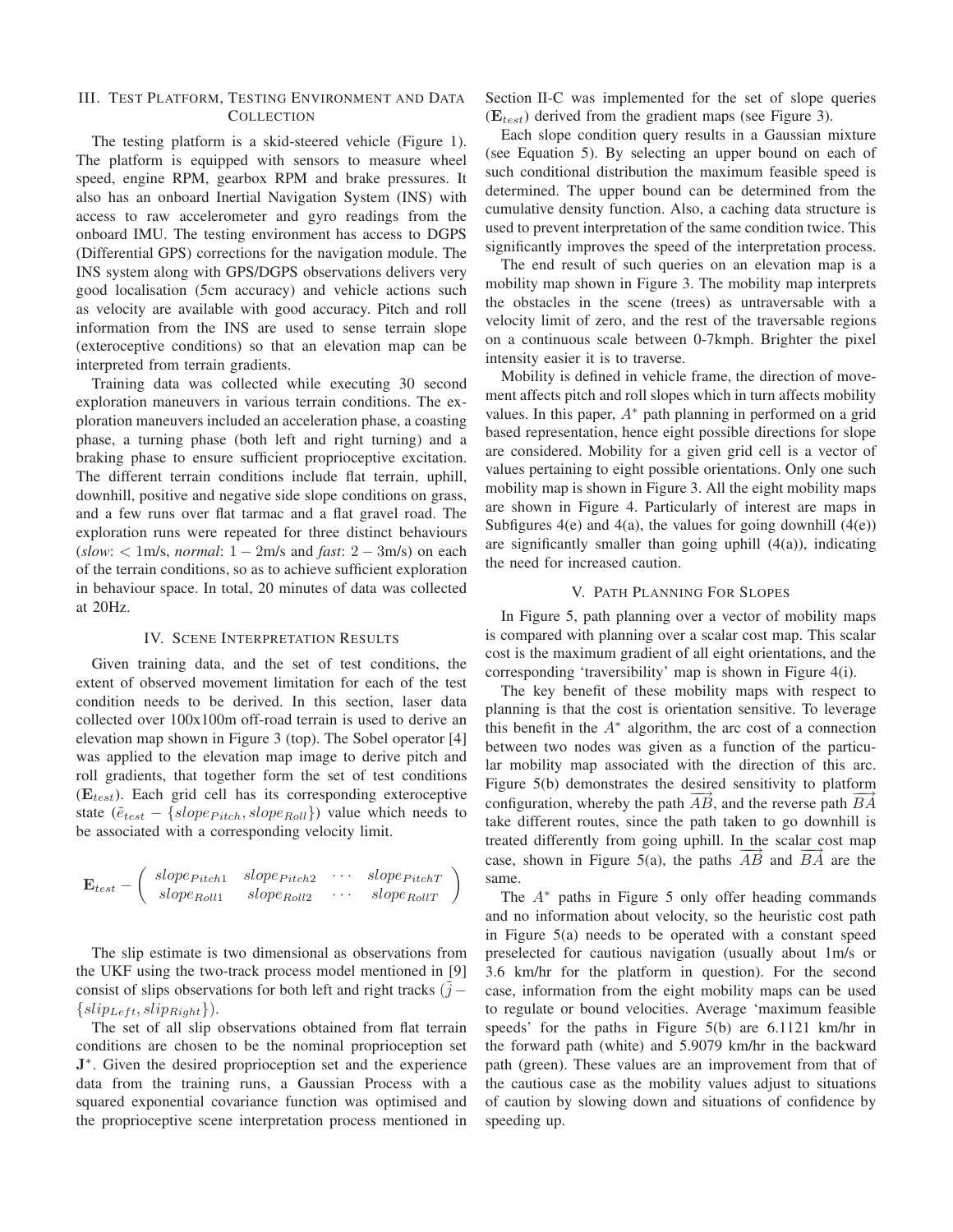# III. TEST PLATFORM, TESTING ENVIRONMENT AND DATA **COLLECTION**

The testing platform is a skid-steered vehicle (Figure 1). The platform is equipped with sensors to measure wheel speed, engine RPM, gearbox RPM and brake pressures. It also has an onboard Inertial Navigation System (INS) with access to raw accelerometer and gyro readings from the onboard IMU. The testing environment has access to DGPS (Differential GPS) corrections for the navigation module. The INS system along with GPS/DGPS observations delivers very good localisation (5cm accuracy) and vehicle actions such as velocity are available with good accuracy. Pitch and roll information from the INS are used to sense terrain slope (exteroceptive conditions) so that an elevation map can be interpreted from terrain gradients.

Training data was collected while executing 30 second exploration maneuvers in various terrain conditions. The exploration maneuvers included an acceleration phase, a coasting phase, a turning phase (both left and right turning) and a braking phase to ensure sufficient proprioceptive excitation. The different terrain conditions include flat terrain, uphill, downhill, positive and negative side slope conditions on grass, and a few runs over flat tarmac and a flat gravel road. The exploration runs were repeated for three distinct behaviours (*slow*: < 1m/s, *normal*: 1 − 2m/s and *fast*: 2 − 3m/s) on each of the terrain conditions, so as to achieve sufficient exploration in behaviour space. In total, 20 minutes of data was collected at 20Hz.

## IV. SCENE INTERPRETATION RESULTS

Given training data, and the set of test conditions, the extent of observed movement limitation for each of the test condition needs to be derived. In this section, laser data collected over 100x100m off-road terrain is used to derive an elevation map shown in Figure 3 (top). The Sobel operator [4] was applied to the elevation map image to derive pitch and roll gradients, that together form the set of test conditions  $(E_{test})$ . Each grid cell has its corresponding exteroceptive state ( $\tilde{e}_{test}$  – {slope<sub>Pitch</sub>, slope<sub>Roll</sub>}) value which needs to be associated with a corresponding velocity limit.

$$
\mathbf{E}_{test} - \left(\begin{array}{cc} slope_{Pitch1} & slope_{Pitch2} & \cdots & slope_{PitchT} \\ slope_{Roll1} & slope_{Roll2} & \cdots & slope_{RollT} \end{array}\right)
$$

The slip estimate is two dimensional as observations from the UKF using the two-track process model mentioned in [9] consist of slips observations for both left and right tracks  $(j {slip_{Left,slip_{Right}}}.$ 

The set of all slip observations obtained from flat terrain conditions are chosen to be the nominal proprioception set J<sup>\*</sup>. Given the desired proprioception set and the experience data from the training runs, a Gaussian Process with a squared exponential covariance function was optimised and the proprioceptive scene interpretation process mentioned in Section II-C was implemented for the set of slope queries  $(E_{test})$  derived from the gradient maps (see Figure 3).

Each slope condition query results in a Gaussian mixture (see Equation 5). By selecting an upper bound on each of such conditional distribution the maximum feasible speed is determined. The upper bound can be determined from the cumulative density function. Also, a caching data structure is used to prevent interpretation of the same condition twice. This significantly improves the speed of the interpretation process.

The end result of such queries on an elevation map is a mobility map shown in Figure 3. The mobility map interprets the obstacles in the scene (trees) as untraversable with a velocity limit of zero, and the rest of the traversable regions on a continuous scale between 0-7kmph. Brighter the pixel intensity easier it is to traverse.

Mobility is defined in vehicle frame, the direction of movement affects pitch and roll slopes which in turn affects mobility values. In this paper,  $A^*$  path planning in performed on a grid based representation, hence eight possible directions for slope are considered. Mobility for a given grid cell is a vector of values pertaining to eight possible orientations. Only one such mobility map is shown in Figure 3. All the eight mobility maps are shown in Figure 4. Particularly of interest are maps in Subfigures  $4(e)$  and  $4(a)$ , the values for going downhill  $(4(e))$ are significantly smaller than going uphill (4(a)), indicating the need for increased caution.

## V. PATH PLANNING FOR SLOPES

In Figure 5, path planning over a vector of mobility maps is compared with planning over a scalar cost map. This scalar cost is the maximum gradient of all eight orientations, and the corresponding 'traversibility' map is shown in Figure 4(i).

The key benefit of these mobility maps with respect to planning is that the cost is orientation sensitive. To leverage this benefit in the  $A^*$  algorithm, the arc cost of a connection between two nodes was given as a function of the particular mobility map associated with the direction of this arc. Figure 5(b) demonstrates the desired sensitivity to platform configuration, whereby the path  $\overrightarrow{AB}$ , and the reverse path  $\overrightarrow{BA}$ take different routes, since the path taken to go downhill is treated differently from going uphill. In the scalar cost map case, shown in Figure 5(a), the paths  $\overrightarrow{AB}$  and  $\overrightarrow{BA}$  are the same.

The  $A^*$  paths in Figure 5 only offer heading commands and no information about velocity, so the heuristic cost path in Figure 5(a) needs to be operated with a constant speed preselected for cautious navigation (usually about 1m/s or 3.6 km/hr for the platform in question). For the second case, information from the eight mobility maps can be used to regulate or bound velocities. Average 'maximum feasible speeds' for the paths in Figure 5(b) are 6.1121 km/hr in the forward path (white) and 5.9079 km/hr in the backward path (green). These values are an improvement from that of the cautious case as the mobility values adjust to situations of caution by slowing down and situations of confidence by speeding up.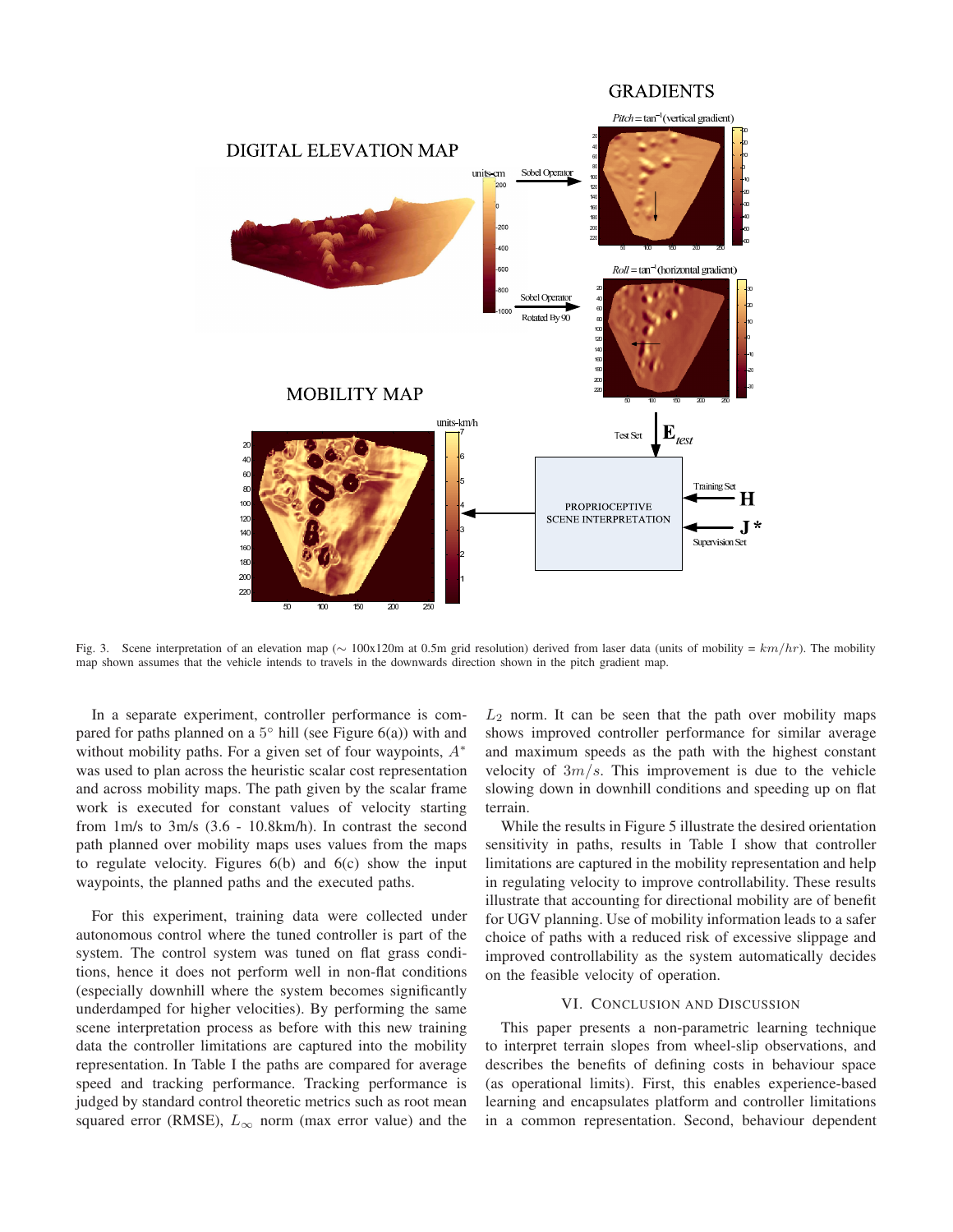#### **GRADIENTS**



Fig. 3. Scene interpretation of an elevation map ( $\sim 100x120m$  at 0.5m grid resolution) derived from laser data (units of mobility = km/hr). The mobility map shown assumes that the vehicle intends to travels in the downwards direction shown in the pitch gradient map.

In a separate experiment, controller performance is compared for paths planned on a  $5^{\circ}$  hill (see Figure 6(a)) with and without mobility paths. For a given set of four waypoints,  $A^*$ was used to plan across the heuristic scalar cost representation and across mobility maps. The path given by the scalar frame work is executed for constant values of velocity starting from 1m/s to 3m/s (3.6 - 10.8km/h). In contrast the second path planned over mobility maps uses values from the maps to regulate velocity. Figures 6(b) and 6(c) show the input waypoints, the planned paths and the executed paths.

For this experiment, training data were collected under autonomous control where the tuned controller is part of the system. The control system was tuned on flat grass conditions, hence it does not perform well in non-flat conditions (especially downhill where the system becomes significantly underdamped for higher velocities). By performing the same scene interpretation process as before with this new training data the controller limitations are captured into the mobility representation. In Table I the paths are compared for average speed and tracking performance. Tracking performance is judged by standard control theoretic metrics such as root mean squared error (RMSE),  $L_{\infty}$  norm (max error value) and the

 $L_2$  norm. It can be seen that the path over mobility maps shows improved controller performance for similar average and maximum speeds as the path with the highest constant velocity of  $3m/s$ . This improvement is due to the vehicle slowing down in downhill conditions and speeding up on flat terrain.

While the results in Figure 5 illustrate the desired orientation sensitivity in paths, results in Table I show that controller limitations are captured in the mobility representation and help in regulating velocity to improve controllability. These results illustrate that accounting for directional mobility are of benefit for UGV planning. Use of mobility information leads to a safer choice of paths with a reduced risk of excessive slippage and improved controllability as the system automatically decides on the feasible velocity of operation.

## VI. CONCLUSION AND DISCUSSION

This paper presents a non-parametric learning technique to interpret terrain slopes from wheel-slip observations, and describes the benefits of defining costs in behaviour space (as operational limits). First, this enables experience-based learning and encapsulates platform and controller limitations in a common representation. Second, behaviour dependent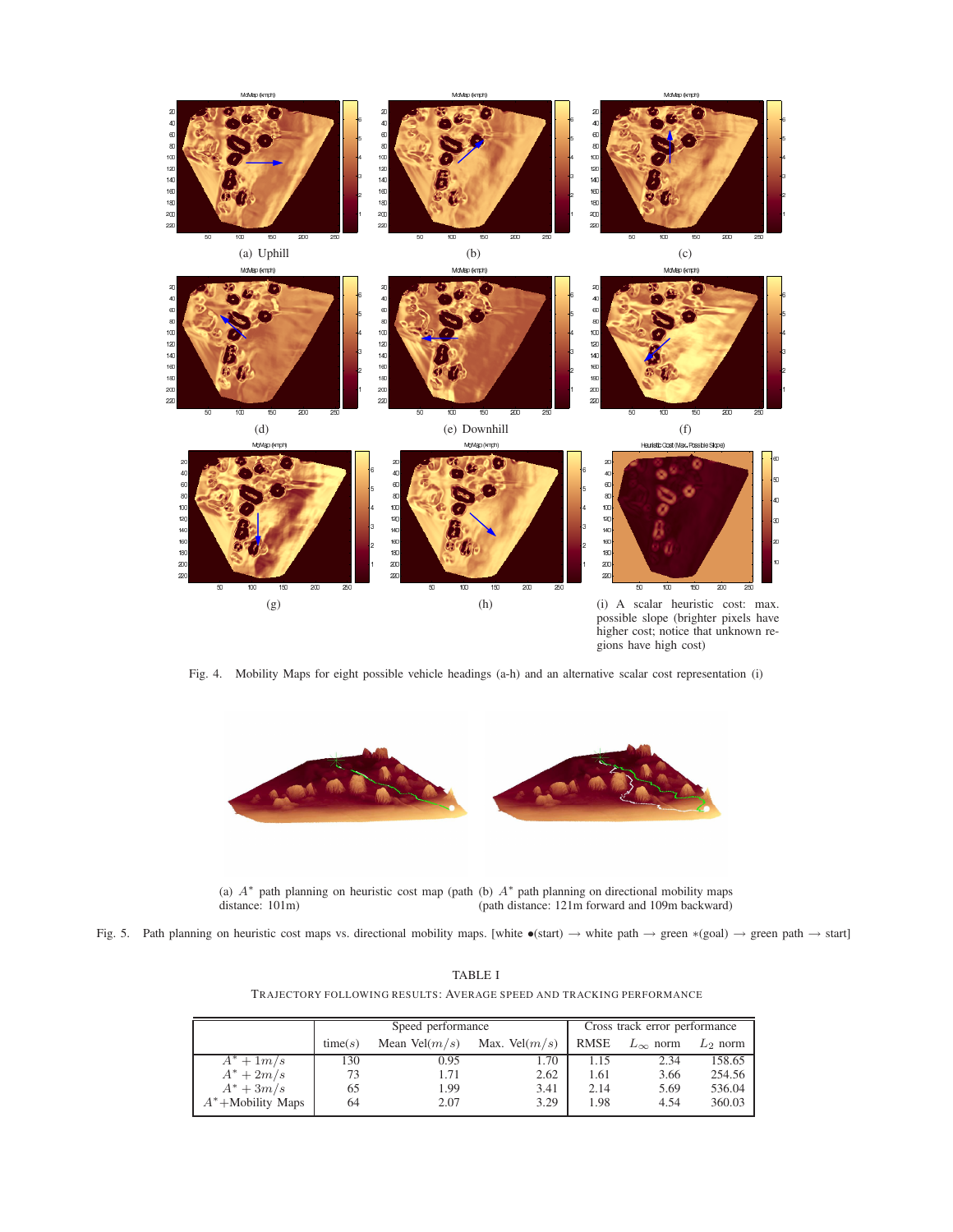

Fig. 4. Mobility Maps for eight possible vehicle headings (a-h) and an alternative scalar cost representation (i)



(a)  $A^*$  path planning on heuristic cost map (path (b)  $A^*$  path planning on directional mobility maps distance:  $101m$ ) (path distance: 121m forward and 109m backward)

Fig. 5. Path planning on heuristic cost maps vs. directional mobility maps. [white •(start) → white path → green ∗(goal) → green path → start]

|                      | Speed performance |                  | Cross track error performance |             |                   |            |
|----------------------|-------------------|------------------|-------------------------------|-------------|-------------------|------------|
|                      | time(s)           | Mean Vel $(m/s)$ | Max. Vel $(m/s)$              | <b>RMSE</b> | $L_{\infty}$ norm | $L_2$ norm |
| $A^* + 1m/s$         | 130               | 0.95             | 1.70                          | 1.15        | 2.34              | 158.65     |
| $A^* + 2m/s$         |                   | 1.71             | 2.62                          | 1.61        | 3.66              | 254.56     |
| $A^* + 3m/s$         | 65                | 1.99             | 3.41                          | 2.14        | 5.69              | 536.04     |
| $A^*$ +Mobility Maps | 64                | 2.07             | 3.29                          | 1.98        | 4.54              | 360.03     |

TABLE I TRAJECTORY FOLLOWING RESULTS: AVERAGE SPEED AND TRACKING PERFORMANCE